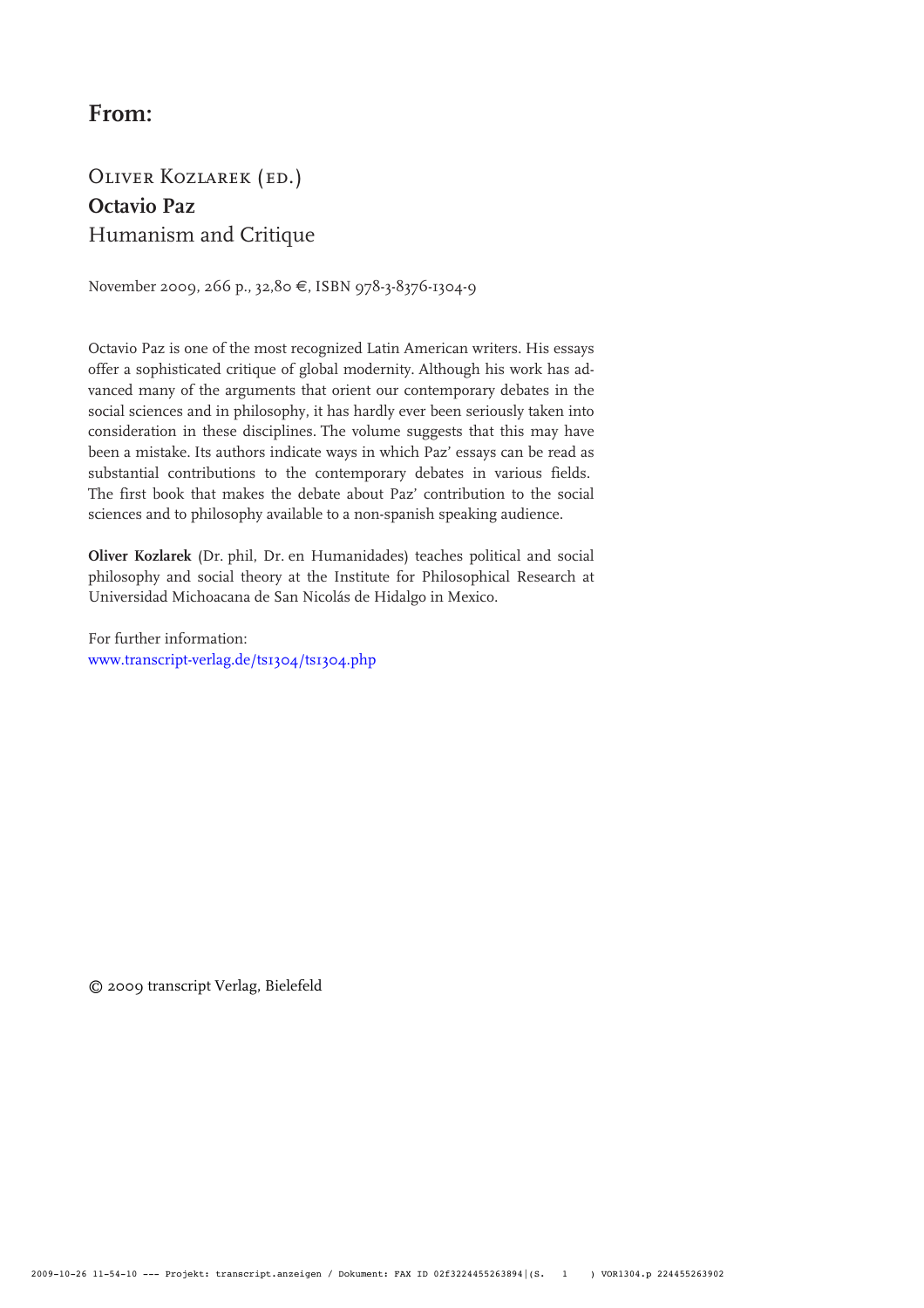# **From:**

# Oliver Kozlarek (ed.) **Octavio Paz** Humanism and Critique

November 2009, 266 p., 32,80 €, ISBN 978-3-8376-1304-9

Octavio Paz is one of the most recognized Latin American writers. His essays offer a sophisticated critique of global modernity. Although his work has advanced many of the arguments that orient our contemporary debates in the social sciences and in philosophy, it has hardly ever been seriously taken into consideration in these disciplines. The volume suggests that this may have been a mistake. Its authors indicate ways in which Paz' essays can be read as substantial contributions to the contemporary debates in various fields. The first book that makes the debate about Paz' contribution to the social sciences and to philosophy available to a non-spanish speaking audience.

**Oliver Kozlarek** (Dr. phil, Dr. en Humanidades) teaches political and social philosophy and social theory at the Institute for Philosophical Research at Universidad Michoacana de San Nicolás de Hidalgo in Mexico.

For further information: [www.transcript-verlag.de/ts1304/ts1304.php](http://www.transcript-verlag.de/ts1304/ts1304.php)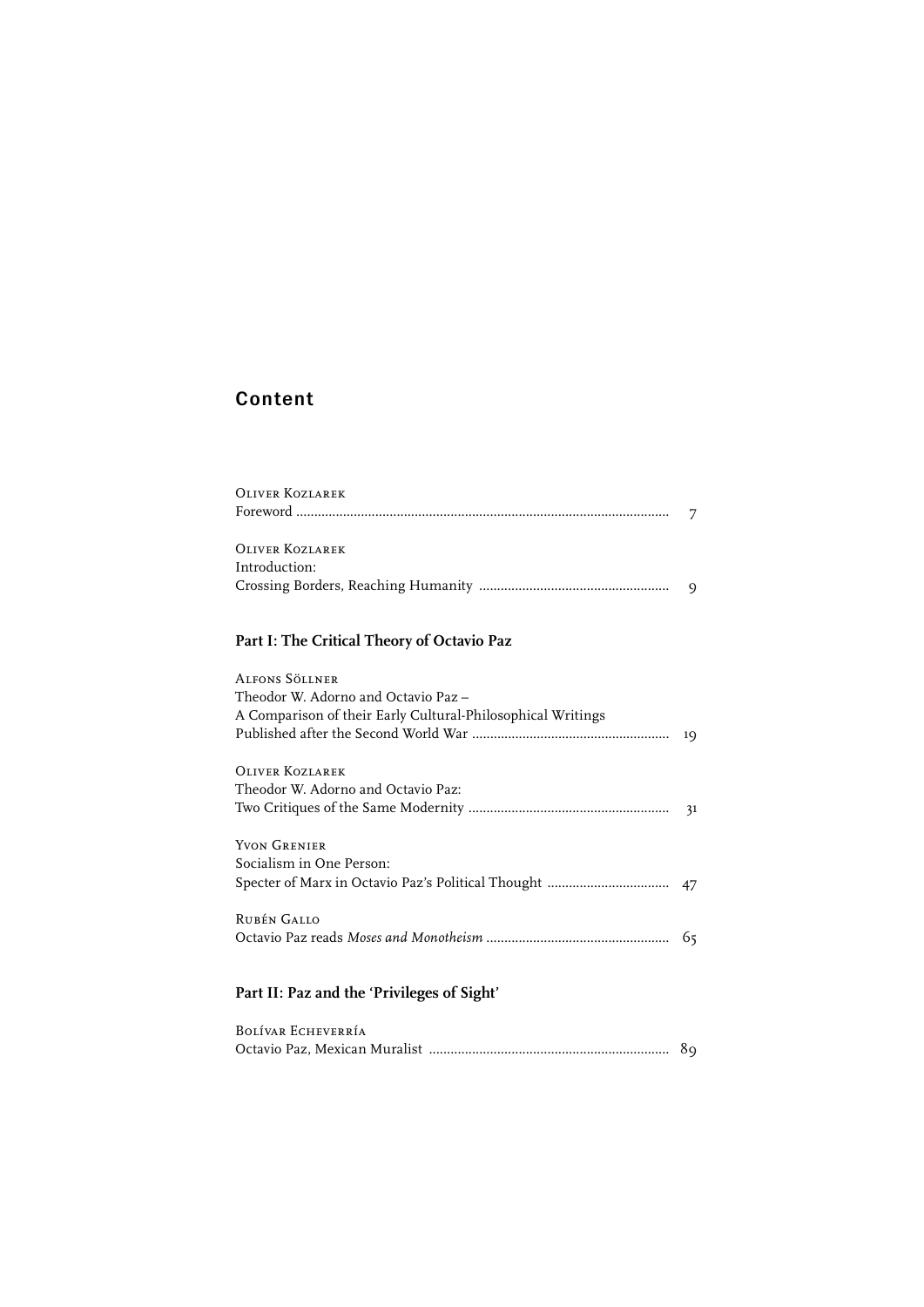## Content

| OLIVER KOZLAREK        |  |
|------------------------|--|
|                        |  |
| <b>OLIVER KOZLAREK</b> |  |
| Introduction:          |  |
|                        |  |

## **Part I: The Critical Theory of Octavio Paz**

| ALFONS SÖLLNER                                              |    |
|-------------------------------------------------------------|----|
| Theodor W. Adorno and Octavio Paz -                         |    |
| A Comparison of their Early Cultural-Philosophical Writings |    |
|                                                             | 19 |
| <b>OLIVER KOZLAREK</b>                                      |    |
| Theodor W. Adorno and Octavio Paz:                          |    |
|                                                             |    |
| YVON GRENIER                                                |    |
| Socialism in One Person:                                    |    |
|                                                             |    |
| RUBÉN GALLO                                                 |    |
|                                                             |    |
|                                                             |    |
| Part II: Paz and the 'Privileges of Sight'                  |    |

| BOLÍVAR ECHEVERRÍA |  |
|--------------------|--|
|                    |  |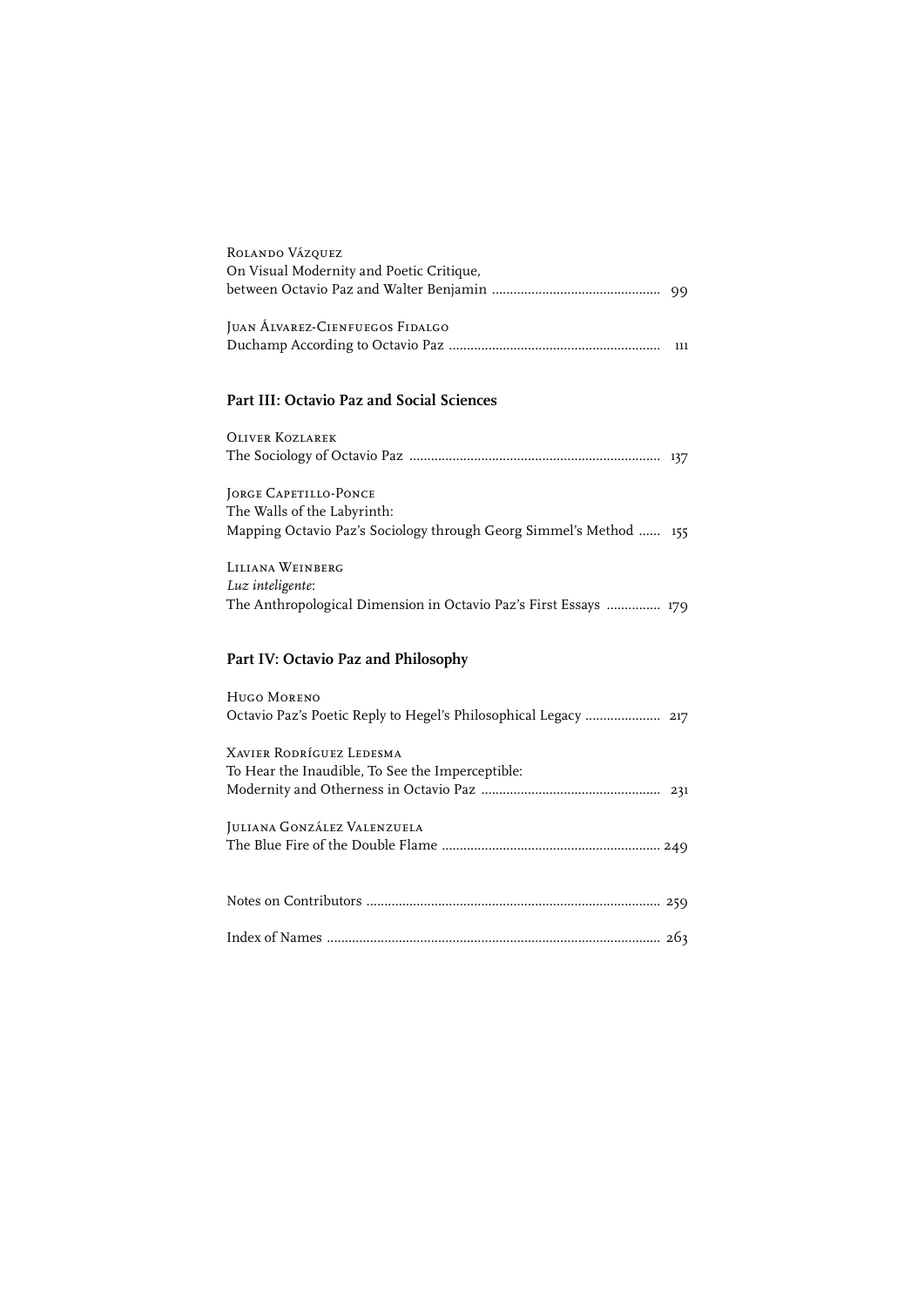| ROLANDO VÁZQUEZ<br>On Visual Modernity and Poetic Critique,                    |     |
|--------------------------------------------------------------------------------|-----|
|                                                                                |     |
| JUAN ALVAREZ-CIENFUEGOS FIDALGO                                                | 111 |
| <b>Part III: Octavio Paz and Social Sciences</b>                               |     |
| <b>OLIVER KOZLAREK</b>                                                         |     |
|                                                                                |     |
| <b>JORGE CAPETILLO-PONCE</b>                                                   |     |
| The Walls of the Labyrinth:                                                    |     |
| Mapping Octavio Paz's Sociology through Georg Simmel's Method  155             |     |
|                                                                                |     |
| LILIANA WEINBERG                                                               |     |
| Luz inteligente:                                                               |     |
| The Anthropological Dimension in Octavio Paz's First Essays  179               |     |
| Part IV: Octavio Paz and Philosophy                                            |     |
|                                                                                |     |
| HUGO MORENO<br>Octavio Paz's Poetic Reply to Hegel's Philosophical Legacy  217 |     |
| <b>XAVIER RODRÍGUEZ LEDESMA</b>                                                |     |
| To Hear the Inaudible, To See the Imperceptible:                               |     |
|                                                                                |     |
| JULIANA GONZÁLEZ VALENZUELA                                                    |     |
|                                                                                |     |
|                                                                                |     |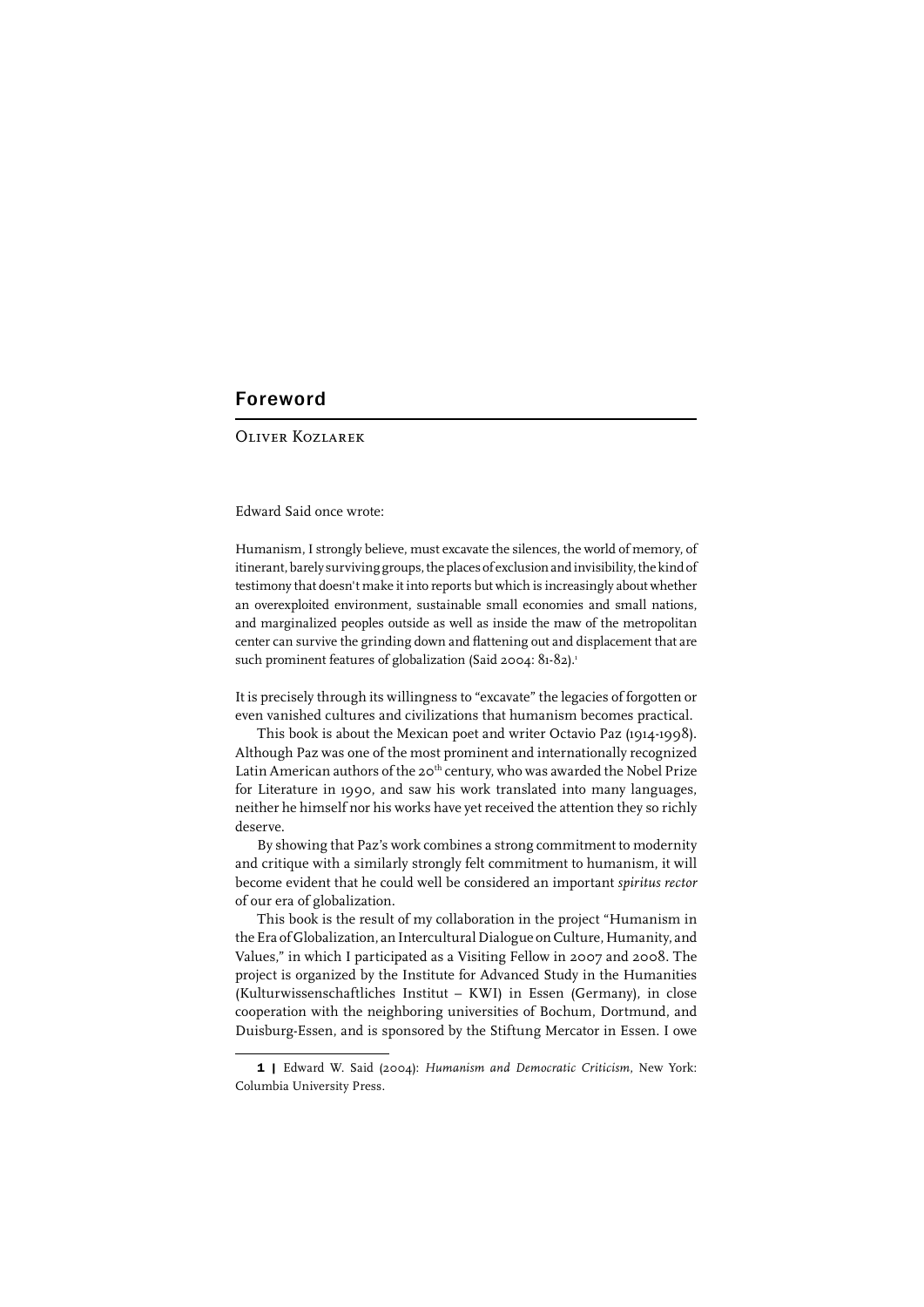### Foreword

#### Oliver Kozlarek

Edward Said once wrote:

Humanism, I strongly believe, must excavate the silences, the world of memory, of itinerant, barely surviving groups, the places of exclusion and invisibility, the kind of testimony that doesn't make it into reports but which is increasingly about whether an overexploited environment, sustainable small economies and small nations, and marginalized peoples outside as well as inside the maw of the metropolitan center can survive the grinding down and flattening out and displacement that are such prominent features of globalization (Said 2004: 81-82).<sup>1</sup>

It is precisely through its willingness to "excavate" the legacies of forgotten or even vanished cultures and civilizations that humanism becomes practical.

This book is about the Mexican poet and writer Octavio Paz (1914-1998). Although Paz was one of the most prominent and internationally recognized Latin American authors of the 20<sup>th</sup> century, who was awarded the Nobel Prize for Literature in 1990, and saw his work translated into many languages, neither he himself nor his works have yet received the attention they so richly deserve.

By showing that Paz's work combines a strong commitment to modernity and critique with a similarly strongly felt commitment to humanism, it will become evident that he could well be considered an important *spiritus rector* of our era of globalization.

This book is the result of my collaboration in the project "Humanism in the Era of Globalization, an Intercultural Dialogue on Culture, Humanity, and Values," in which I participated as a Visiting Fellow in 2007 and 2008. The project is organized by the Institute for Advanced Study in the Humanities (Kulturwissenschaftliches Institut – KWI) in Essen (Germany), in close cooperation with the neighboring universities of Bochum, Dortmund, and Duisburg-Essen, and is sponsored by the Stiftung Mercator in Essen. I owe

<sup>1 |</sup> Edward W. Said (2004): *Humanism and Democratic Criticism*, New York: Columbia University Press.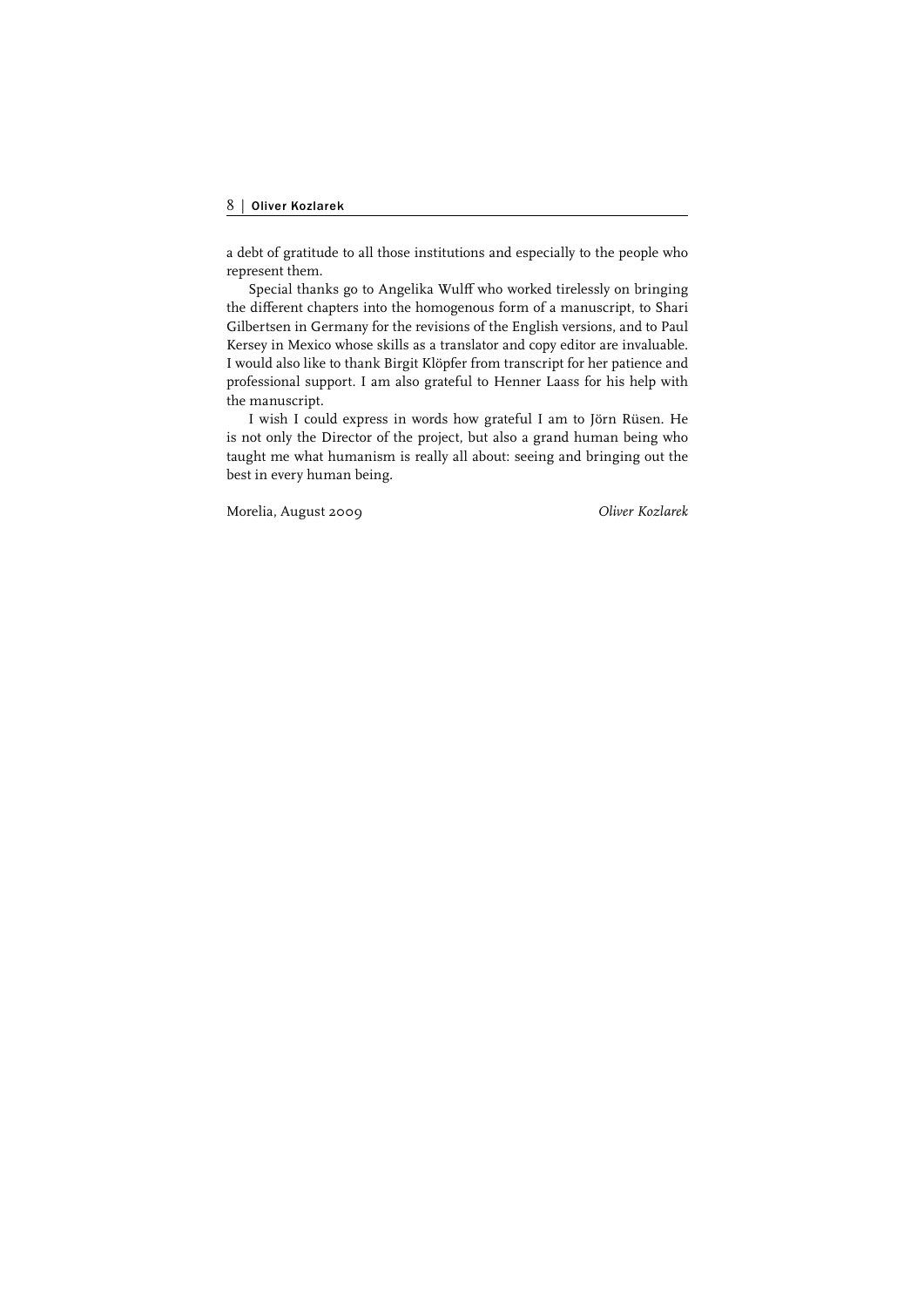a debt of gratitude to all those institutions and especially to the people who represent them.

Special thanks go to Angelika Wulff who worked tirelessly on bringing the different chapters into the homogenous form of a manuscript, to Shari Gilbertsen in Germany for the revisions of the English versions, and to Paul Kersey in Mexico whose skills as a translator and copy editor are invaluable. I would also like to thank Birgit Klöpfer from transcript for her patience and professional support. I am also grateful to Henner Laass for his help with the manuscript.

I wish I could express in words how grateful I am to Jörn Rüsen. He is not only the Director of the project, but also a grand human being who taught me what humanism is really all about: seeing and bringing out the best in every human being.

Morelia, August 2009 *Oliver Kozlarek*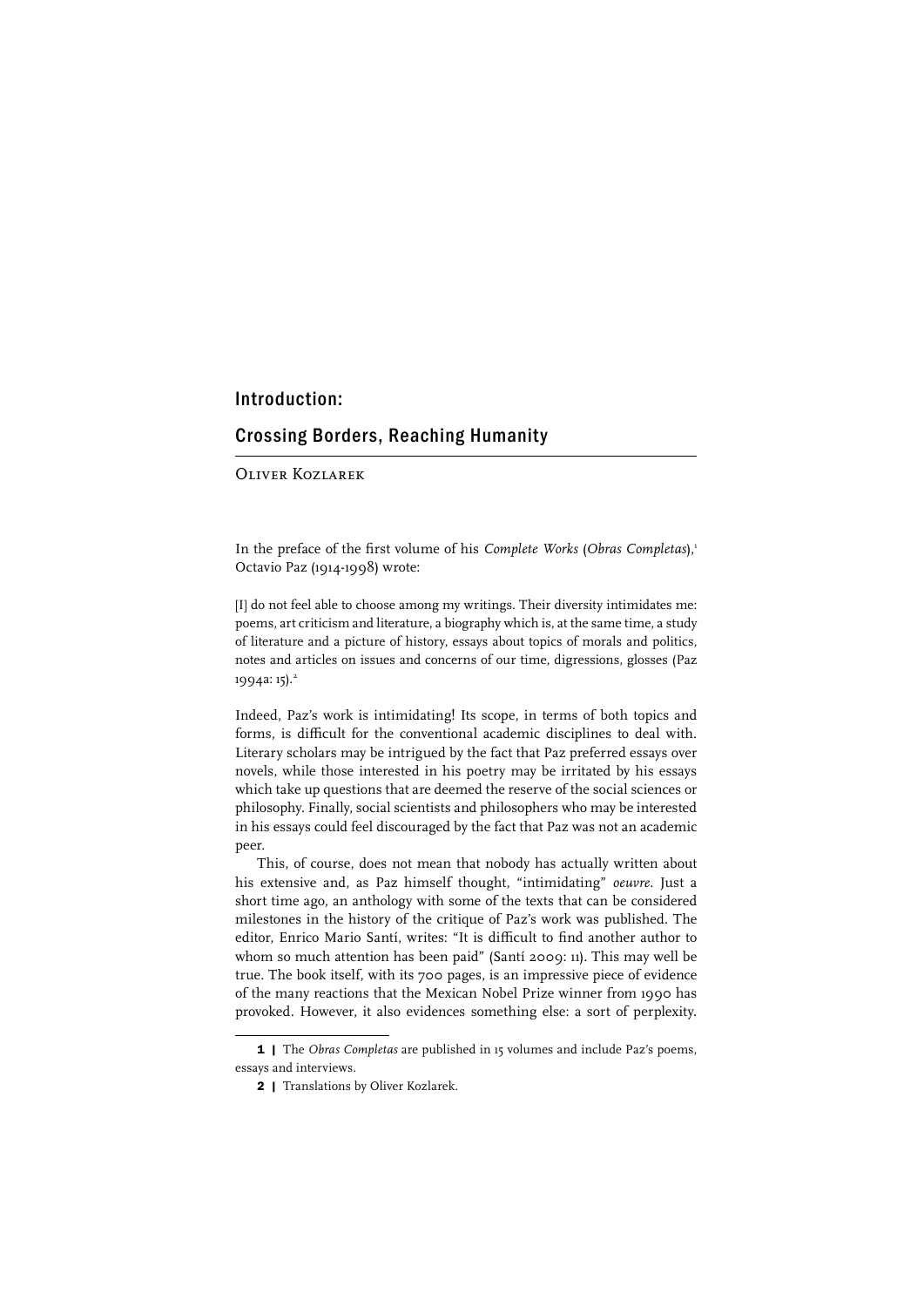#### Introduction:

### Crossing Borders, Reaching Humanity

Oliver Kozlarek

In the preface of the first volume of his *Complete Works* (*Obras Completas*),<sup>1</sup> Octavio Paz (1914-1998) wrote:

[I] do not feel able to choose among my writings. Their diversity intimidates me: poems, art criticism and literature, a biography which is, at the same time, a study of literature and a picture of history, essays about topics of morals and politics, notes and articles on issues and concerns of our time, digressions, glosses (Paz 1994a: 15).<sup>2</sup>

Indeed, Paz's work is intimidating! Its scope, in terms of both topics and forms, is difficult for the conventional academic disciplines to deal with. Literary scholars may be intrigued by the fact that Paz preferred essays over novels, while those interested in his poetry may be irritated by his essays which take up questions that are deemed the reserve of the social sciences or philosophy. Finally, social scientists and philosophers who may be interested in his essays could feel discouraged by the fact that Paz was not an academic peer.

This, of course, does not mean that nobody has actually written about his extensive and, as Paz himself thought, "intimidating" *oeuvre*. Just a short time ago, an anthology with some of the texts that can be considered milestones in the history of the critique of Paz's work was published. The editor, Enrico Mario Santí, writes: "It is difficult to find another author to whom so much attention has been paid" (Santí 2009: 11). This may well be true. The book itself, with its 700 pages, is an impressive piece of evidence of the many reactions that the Mexican Nobel Prize winner from 1990 has provoked. However, it also evidences something else: a sort of perplexity.

<sup>1 |</sup> The *Obras Completas* are published in 15 volumes and include Paz's poems, essays and interviews.

<sup>2 |</sup> Translations by Oliver Kozlarek.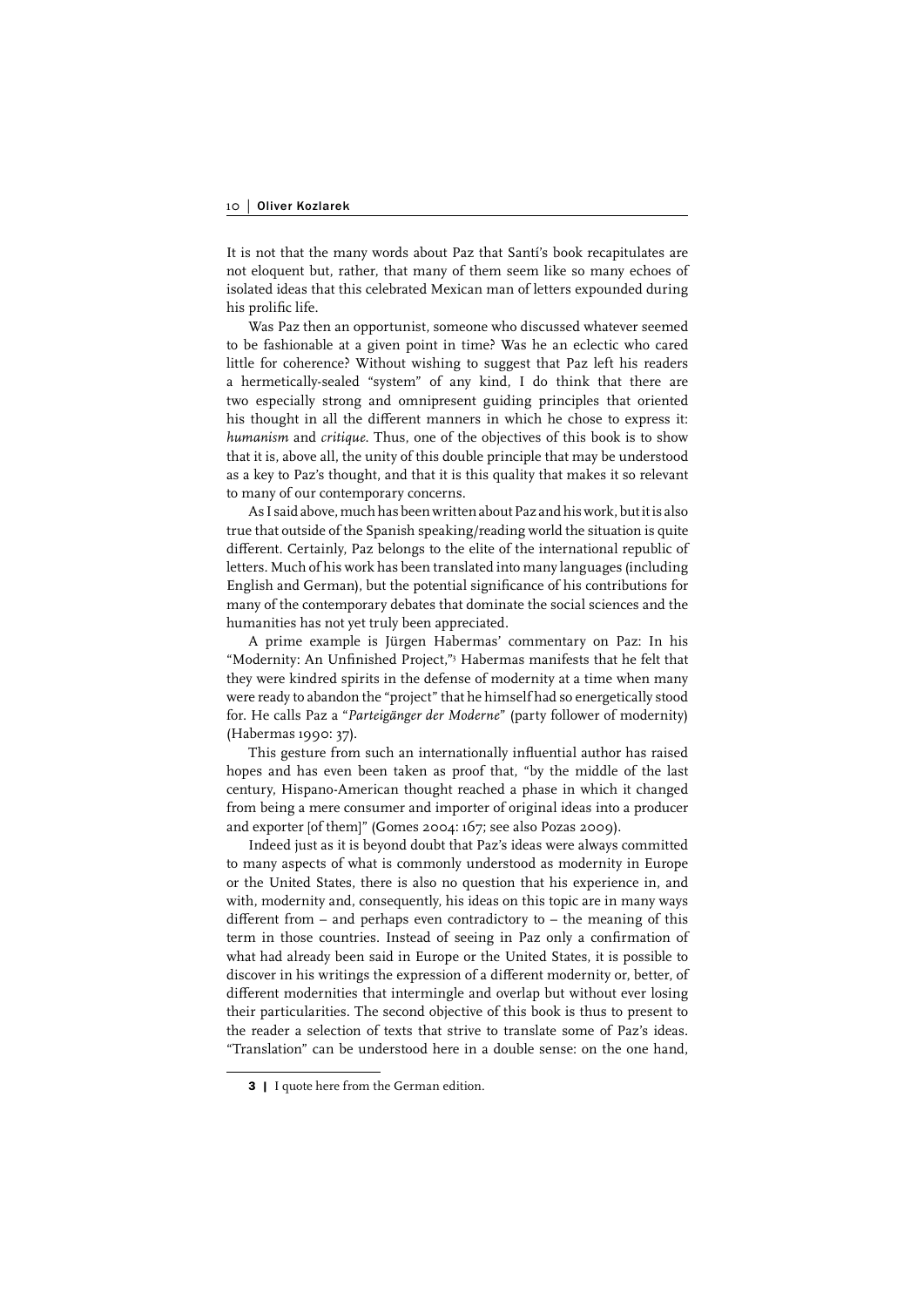It is not that the many words about Paz that Santí's book recapitulates are not eloquent but, rather, that many of them seem like so many echoes of isolated ideas that this celebrated Mexican man of letters expounded during his prolific life.

Was Paz then an opportunist, someone who discussed whatever seemed to be fashionable at a given point in time? Was he an eclectic who cared little for coherence? Without wishing to suggest that Paz left his readers a hermetically-sealed "system" of any kind, I do think that there are two especially strong and omnipresent guiding principles that oriented his thought in all the different manners in which he chose to express it: *humanism* and *critique*. Thus, one of the objectives of this book is to show that it is, above all, the unity of this double principle that may be understood as a key to Paz's thought, and that it is this quality that makes it so relevant to many of our contemporary concerns.

As I said above, much has been written about Paz and his work, but it is also true that outside of the Spanish speaking/reading world the situation is quite different. Certainly, Paz belongs to the elite of the international republic of letters. Much of his work has been translated into many languages (including English and German), but the potential significance of his contributions for many of the contemporary debates that dominate the social sciences and the humanities has not yet truly been appreciated.

A prime example is Jürgen Habermas' commentary on Paz: In his "Modernity: An Unfinished Project,"<sup>3</sup> Habermas manifests that he felt that they were kindred spirits in the defense of modernity at a time when many were ready to abandon the "project" that he himself had so energetically stood for. He calls Paz a "*Parteigänger der Moderne*" (party follower of modernity) (Habermas 1990: 37).

This gesture from such an internationally influential author has raised hopes and has even been taken as proof that, "by the middle of the last century, Hispano-American thought reached a phase in which it changed from being a mere consumer and importer of original ideas into a producer and exporter [of them]" (Gomes 2004: 167; see also Pozas 2009).

Indeed just as it is beyond doubt that Paz's ideas were always committed to many aspects of what is commonly understood as modernity in Europe or the United States, there is also no question that his experience in, and with, modernity and, consequently, his ideas on this topic are in many ways different from  $-$  and perhaps even contradictory to  $-$  the meaning of this term in those countries. Instead of seeing in Paz only a confirmation of what had already been said in Europe or the United States, it is possible to discover in his writings the expression of a different modernity or, better, of different modernities that intermingle and overlap but without ever losing their particularities. The second objective of this book is thus to present to the reader a selection of texts that strive to translate some of Paz's ideas. "Translation" can be understood here in a double sense: on the one hand,

<sup>3 |</sup> I quote here from the German edition.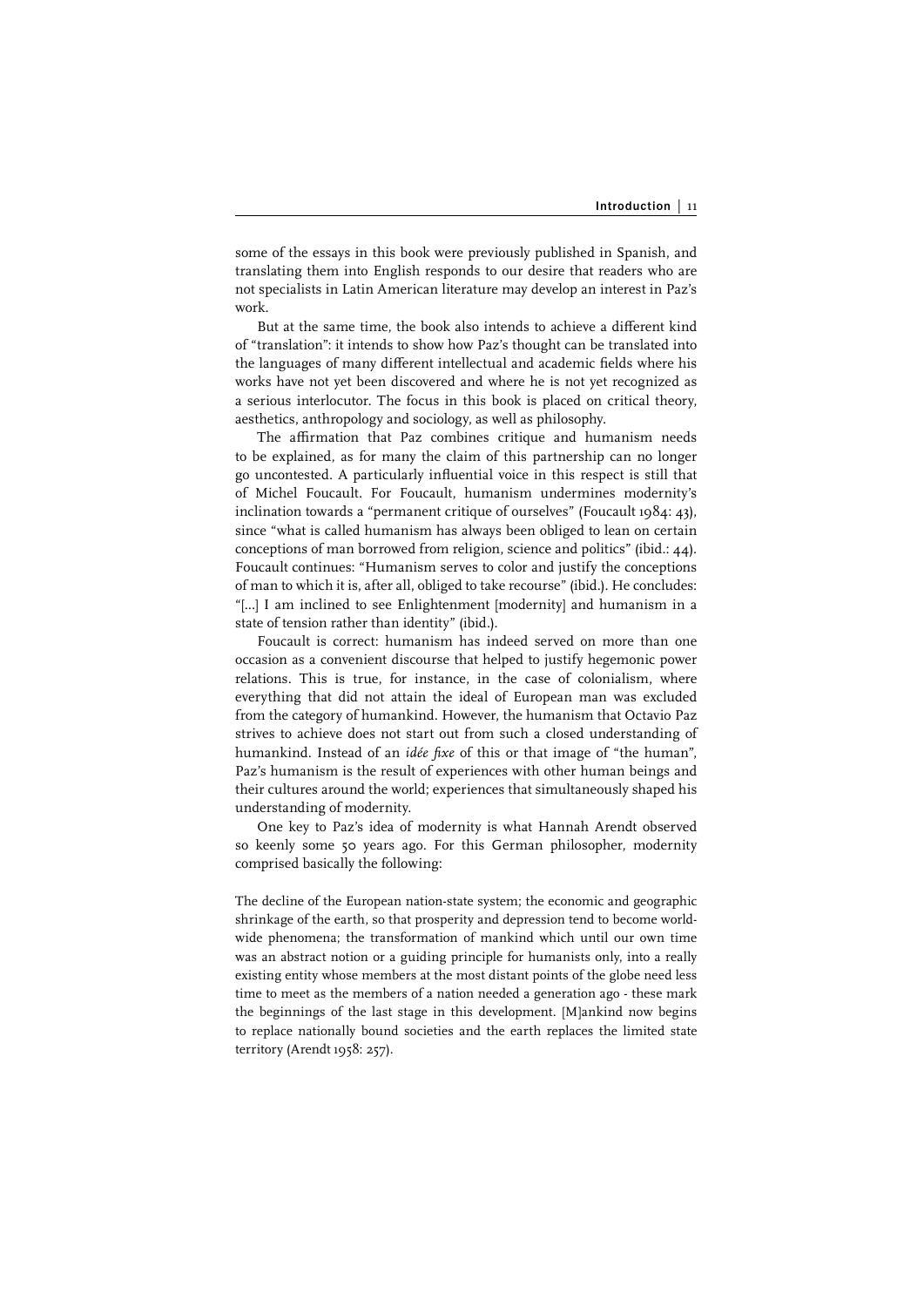some of the essays in this book were previously published in Spanish, and translating them into English responds to our desire that readers who are not specialists in Latin American literature may develop an interest in Paz's work.

But at the same time, the book also intends to achieve a different kind of "translation": it intends to show how Paz's thought can be translated into the languages of many different intellectual and academic fields where his works have not yet been discovered and where he is not yet recognized as a serious interlocutor. The focus in this book is placed on critical theory, aesthetics, anthropology and sociology, as well as philosophy.

The affirmation that Paz combines critique and humanism needs to be explained, as for many the claim of this partnership can no longer go uncontested. A particularly influential voice in this respect is still that of Michel Foucault. For Foucault, humanism undermines modernity's inclination towards a "permanent critique of ourselves" (Foucault 1984: 43), since "what is called humanism has always been obliged to lean on certain conceptions of man borrowed from religion, science and politics" (ibid.: 44). Foucault continues: "Humanism serves to color and justify the conceptions of man to which it is, after all, obliged to take recourse" (ibid.). He concludes: "[...] I am inclined to see Enlightenment [modernity] and humanism in a state of tension rather than identity" (ibid.).

Foucault is correct: humanism has indeed served on more than one occasion as a convenient discourse that helped to justify hegemonic power relations. This is true, for instance, in the case of colonialism, where everything that did not attain the ideal of European man was excluded from the category of humankind. However, the humanism that Octavio Paz strives to achieve does not start out from such a closed understanding of humankind. Instead of an *idée fixe* of this or that image of "the human", Paz's humanism is the result of experiences with other human beings and their cultures around the world; experiences that simultaneously shaped his understanding of modernity.

One key to Paz's idea of modernity is what Hannah Arendt observed so keenly some 50 years ago. For this German philosopher, modernity comprised basically the following:

The decline of the European nation-state system; the economic and geographic shrinkage of the earth, so that prosperity and depression tend to become worldwide phenomena; the transformation of mankind which until our own time was an abstract notion or a guiding principle for humanists only, into a really existing entity whose members at the most distant points of the globe need less time to meet as the members of a nation needed a generation ago - these mark the beginnings of the last stage in this development. [M]ankind now begins to replace nationally bound societies and the earth replaces the limited state territory (Arendt 1958: 257).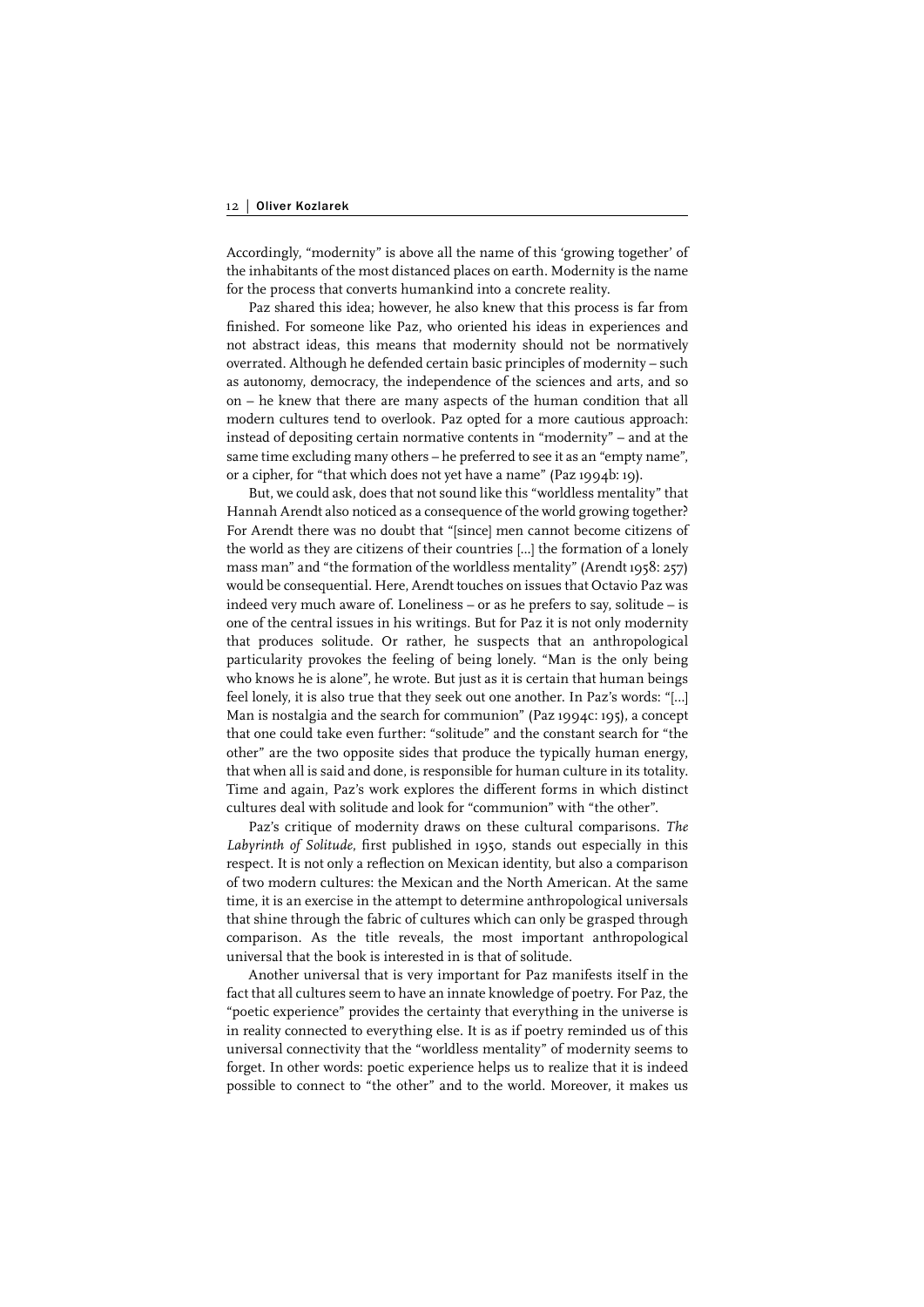Accordingly, "modernity" is above all the name of this 'growing together' of the inhabitants of the most distanced places on earth. Modernity is the name for the process that converts humankind into a concrete reality.

Paz shared this idea; however, he also knew that this process is far from finished. For someone like Paz, who oriented his ideas in experiences and not abstract ideas, this means that modernity should not be normatively overrated. Although he defended certain basic principles of modernity – such as autonomy, democracy, the independence of the sciences and arts, and so on – he knew that there are many aspects of the human condition that all modern cultures tend to overlook. Paz opted for a more cautious approach: instead of depositing certain normative contents in "modernity" – and at the same time excluding many others – he preferred to see it as an "empty name", or a cipher, for "that which does not yet have a name" (Paz 1994b: 19).

But, we could ask, does that not sound like this "worldless mentality" that Hannah Arendt also noticed as a consequence of the world growing together? For Arendt there was no doubt that "[since] men cannot become citizens of the world as they are citizens of their countries [...] the formation of a lonely mass man" and "the formation of the worldless mentality" (Arendt 1958: 257) would be consequential. Here, Arendt touches on issues that Octavio Paz was indeed very much aware of. Loneliness – or as he prefers to say, solitude – is one of the central issues in his writings. But for Paz it is not only modernity that produces solitude. Or rather, he suspects that an anthropological particularity provokes the feeling of being lonely. "Man is the only being who knows he is alone", he wrote. But just as it is certain that human beings feel lonely, it is also true that they seek out one another. In Paz's words: "[…] Man is nostalgia and the search for communion" (Paz 1994c: 195), a concept that one could take even further: "solitude" and the constant search for "the other" are the two opposite sides that produce the typically human energy, that when all is said and done, is responsible for human culture in its totality. Time and again, Paz's work explores the different forms in which distinct cultures deal with solitude and look for "communion" with "the other".

Paz's critique of modernity draws on these cultural comparisons. *The*  Labyrinth of Solitude, first published in 1950, stands out especially in this respect. It is not only a reflection on Mexican identity, but also a comparison of two modern cultures: the Mexican and the North American. At the same time, it is an exercise in the attempt to determine anthropological universals that shine through the fabric of cultures which can only be grasped through comparison. As the title reveals, the most important anthropological universal that the book is interested in is that of solitude.

Another universal that is very important for Paz manifests itself in the fact that all cultures seem to have an innate knowledge of poetry. For Paz, the "poetic experience" provides the certainty that everything in the universe is in reality connected to everything else. It is as if poetry reminded us of this universal connectivity that the "worldless mentality" of modernity seems to forget. In other words: poetic experience helps us to realize that it is indeed possible to connect to "the other" and to the world. Moreover, it makes us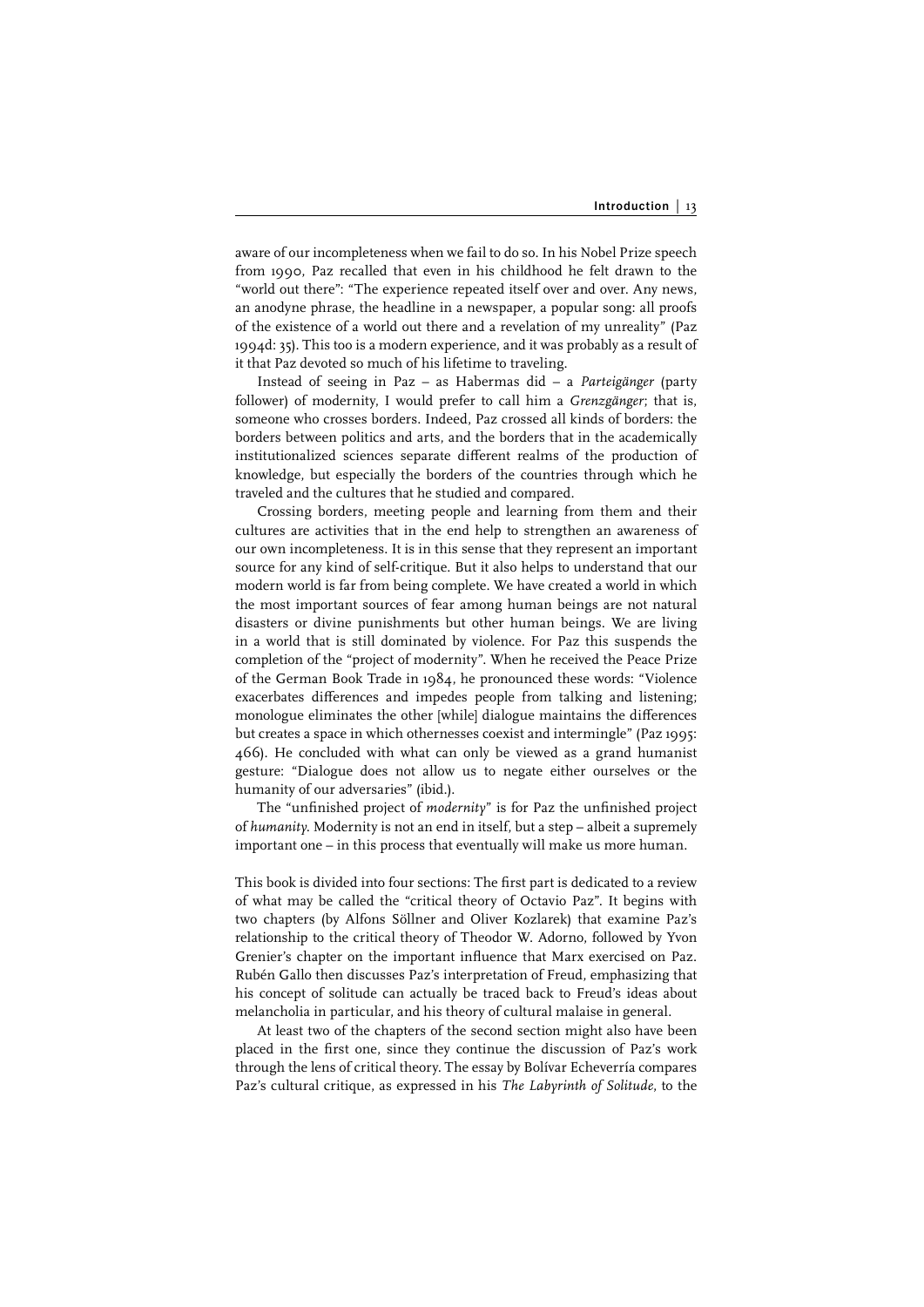aware of our incompleteness when we fail to do so. In his Nobel Prize speech from 1990, Paz recalled that even in his childhood he felt drawn to the "world out there": "The experience repeated itself over and over. Any news, an anodyne phrase, the headline in a newspaper, a popular song: all proofs of the existence of a world out there and a revelation of my unreality" (Paz 1994d: 35). This too is a modern experience, and it was probably as a result of it that Paz devoted so much of his lifetime to traveling.

Instead of seeing in Paz – as Habermas did – a *Parteigänger* (party follower) of modernity, I would prefer to call him a *Grenzgänger*; that is, someone who crosses borders. Indeed, Paz crossed all kinds of borders: the borders between politics and arts, and the borders that in the academically institutionalized sciences separate different realms of the production of knowledge, but especially the borders of the countries through which he traveled and the cultures that he studied and compared.

Crossing borders, meeting people and learning from them and their cultures are activities that in the end help to strengthen an awareness of our own incompleteness. It is in this sense that they represent an important source for any kind of self-critique. But it also helps to understand that our modern world is far from being complete. We have created a world in which the most important sources of fear among human beings are not natural disasters or divine punishments but other human beings. We are living in a world that is still dominated by violence. For Paz this suspends the completion of the "project of modernity". When he received the Peace Prize of the German Book Trade in 1984, he pronounced these words: "Violence exacerbates differences and impedes people from talking and listening; monologue eliminates the other [while] dialogue maintains the differences but creates a space in which othernesses coexist and intermingle" (Paz 1995: 466). He concluded with what can only be viewed as a grand humanist gesture: "Dialogue does not allow us to negate either ourselves or the humanity of our adversaries" (ibid.).

The "unfinished project of *modernity*" is for Paz the unfinished project of *humanity*. Modernity is not an end in itself, but a step – albeit a supremely important one – in this process that eventually will make us more human.

This book is divided into four sections: The first part is dedicated to a review of what may be called the "critical theory of Octavio Paz". It begins with two chapters (by Alfons Söllner and Oliver Kozlarek) that examine Paz's relationship to the critical theory of Theodor W. Adorno, followed by Yvon Grenier's chapter on the important influence that Marx exercised on Paz. Rubén Gallo then discusses Paz's interpretation of Freud, emphasizing that his concept of solitude can actually be traced back to Freud's ideas about melancholia in particular, and his theory of cultural malaise in general.

At least two of the chapters of the second section might also have been placed in the first one, since they continue the discussion of Paz's work through the lens of critical theory. The essay by Bolívar Echeverría compares Paz's cultural critique, as expressed in his *The Labyrinth of Solitude*, to the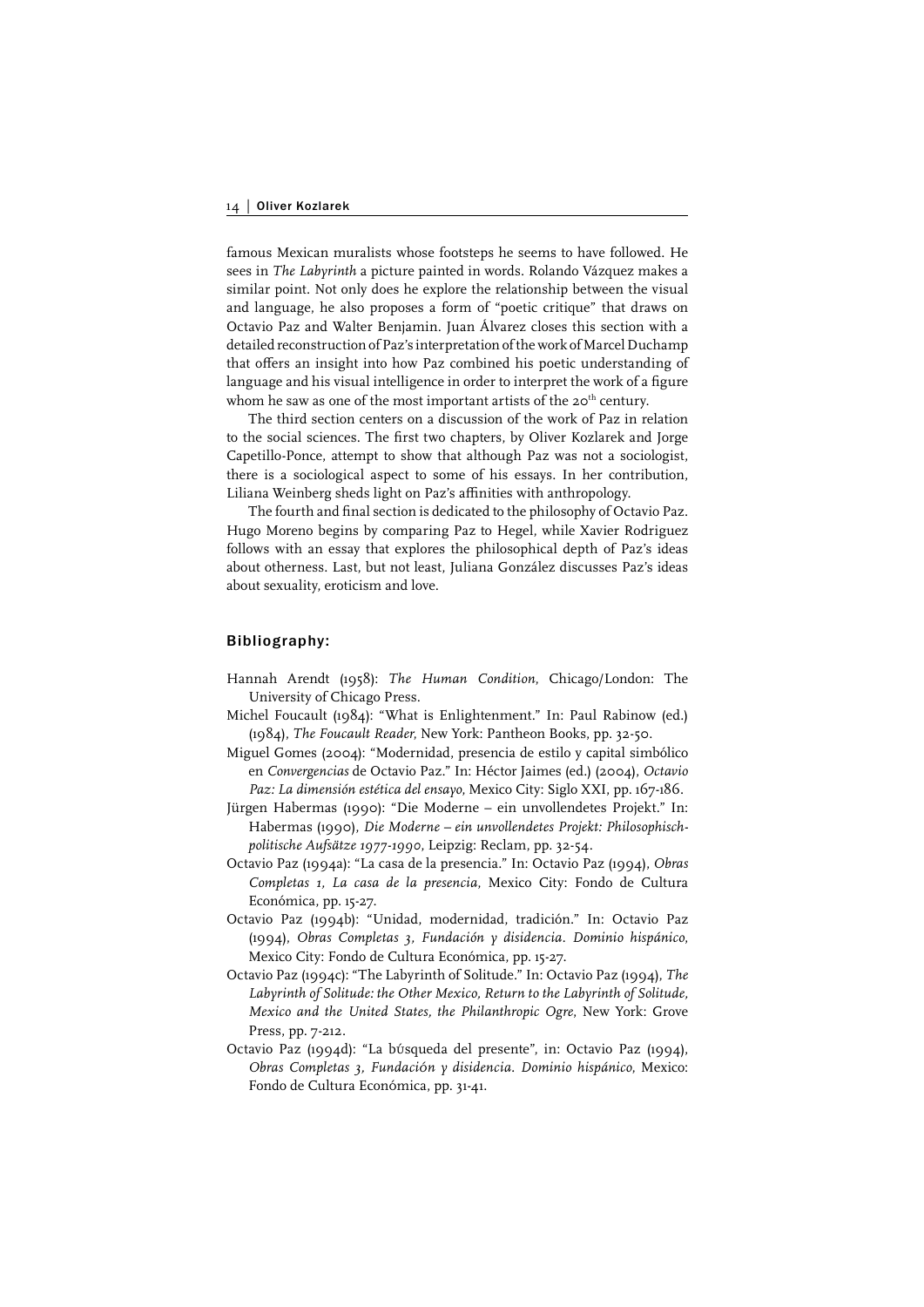famous Mexican muralists whose footsteps he seems to have followed. He sees in *The Labyrinth* a picture painted in words. Rolando Vázquez makes a similar point. Not only does he explore the relationship between the visual and language, he also proposes a form of "poetic critique" that draws on Octavio Paz and Walter Benjamin. Juan Álvarez closes this section with a detailed reconstruction of Paz's interpretation of the work of Marcel Duchamp that offers an insight into how Paz combined his poetic understanding of language and his visual intelligence in order to interpret the work of a figure whom he saw as one of the most important artists of the 20<sup>th</sup> century.

The third section centers on a discussion of the work of Paz in relation to the social sciences. The first two chapters, by Oliver Kozlarek and Jorge Capetillo-Ponce, attempt to show that although Paz was not a sociologist, there is a sociological aspect to some of his essays. In her contribution, Liliana Weinberg sheds light on Paz's affinities with anthropology.

The fourth and final section is dedicated to the philosophy of Octavio Paz. Hugo Moreno begins by comparing Paz to Hegel, while Xavier Rodriguez follows with an essay that explores the philosophical depth of Paz's ideas about otherness. Last, but not least, Juliana González discusses Paz's ideas about sexuality, eroticism and love.

#### Bibliography:

- Hannah Arendt (1958): *The Human Condition*, Chicago/London: The University of Chicago Press.
- Michel Foucault (1984): "What is Enlightenment." In: Paul Rabinow (ed.) (1984), *The Foucault Reader*, New York: Pantheon Books, pp. 32-50.
- Miguel Gomes (2004): "Modernidad, presencia de estilo y capital simbólico en *Convergencias* de Octavio Paz." In: Héctor Jaimes (ed.) (2004), *Octavio Paz: La dimensión estética del ensayo*, Mexico City: Siglo XXI, pp. 167-186.
- Jürgen Habermas (1990): "Die Moderne ein unvollendetes Projekt." In: Habermas (1990), *Die Moderne – ein unvollendetes Projekt: Philosophischpolitische Aufsätze 1977-1990*, Leipzig: Reclam, pp. 32-54.
- Octavio Paz (1994a): "La casa de la presencia." In: Octavio Paz (1994), *Obras Completas 1, La casa de la presencia*, Mexico City: Fondo de Cultura Económica, pp. 15-27.
- Octavio Paz (1994b): "Unidad, modernidad, tradición." In: Octavio Paz (1994), *Obras Completas 3, Fundación y disidencia. Dominio hispánico*, Mexico City: Fondo de Cultura Económica, pp. 15-27.
- Octavio Paz (1994c): "The Labyrinth of Solitude." In: Octavio Paz (1994), *The*  Labyrinth of Solitude: the Other Mexico, Return to the Labyrinth of Solitude, *Mexico and the United States, the Philanthropic Ogre*, New York: Grove Press, pp. 7-212.
- Octavio Paz (1994d): "La búsqueda del presente", in: Octavio Paz (1994), *Obras Completas 3, Fundación y disidencia. Dominio hispánico*, Mexico: Fondo de Cultura Económica, pp. 31-41.